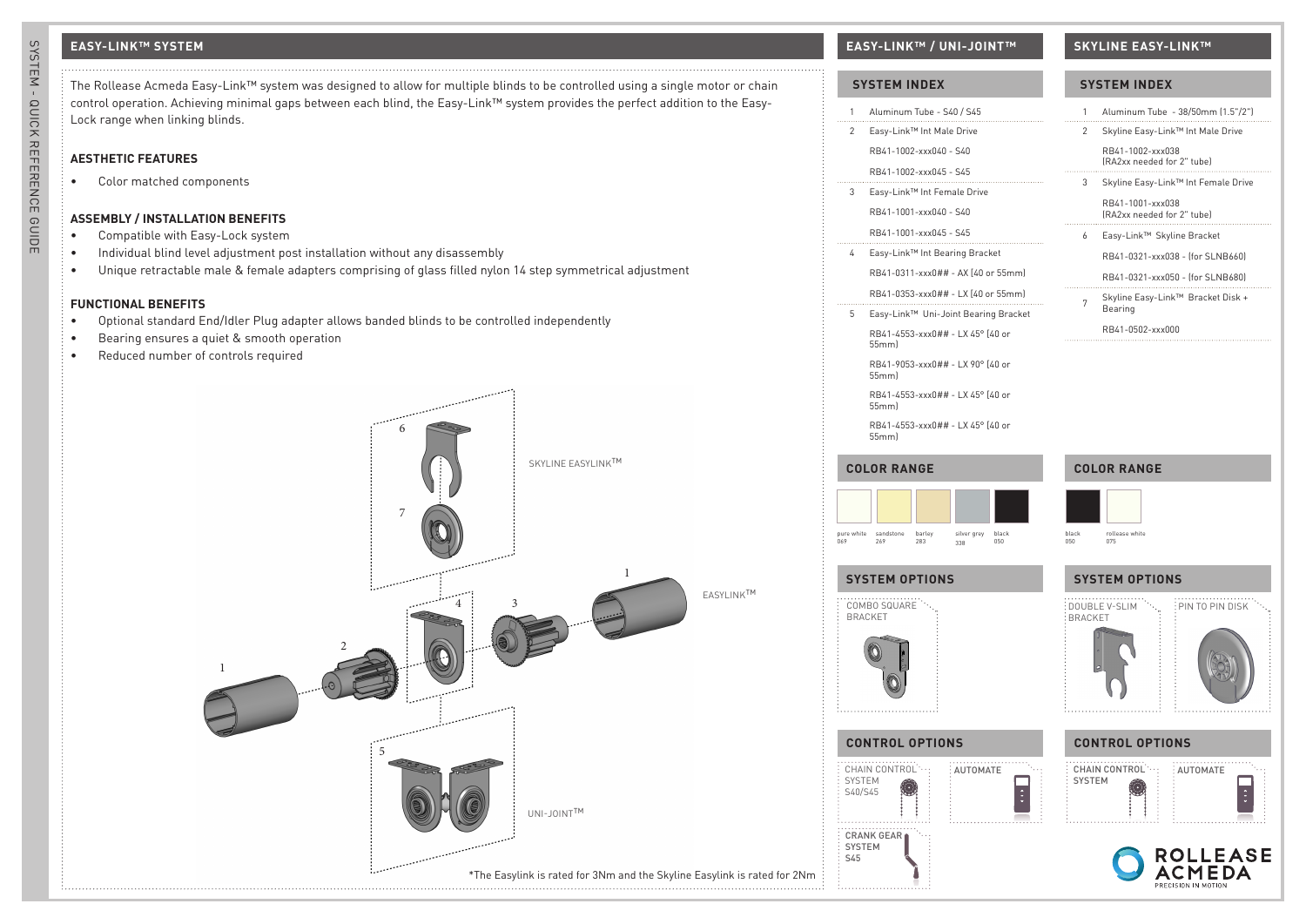The Rollease Acmeda Easy-Link™ system was designed to allow for multiple blinds to be controlled using a single motor or chain control operation. Achieving minimal gaps between each blind, the Easy-Link™ system provides the perfect addition to the Easy-Lock range when linking blinds.

# **AESTHETIC FEATURES**

• Color matched components

# **ASSEMBLY / INSTALLATION BENEFITS**

- Compatible with Easy-Lock system
- Individual blind level adjustment post installation without any disassembly
- Unique retractable male & female adapters comprising of glass filled nylon 14 step symmetrical adjustment

## **FUNCTIONAL BENEFITS**

- Optional standard End/Idler Plug adapter allows banded blinds to be controlled independently
- Bearing ensures a quiet & smooth operation
- Reduced number of controls required



# **EASY-LINK™ SYSTEM EASY-LINK™ / UNI-JOINT™ SKYLINE EASY-LINK™**

### **SYSTEM INDEX**

| 1                        | Aluminum Tube - S40 / S45<br>.                                          | 1                           |
|--------------------------|-------------------------------------------------------------------------|-----------------------------|
| 2                        | Easy-Link™ Int Male Drive                                               | 2                           |
|                          | RB41-1002-xxx040 - S40                                                  |                             |
|                          | RB41-1002-xxx045 - S45<br>.                                             |                             |
| 3                        | Easy-Link™ Int Female Drive                                             | 3                           |
|                          | RB41-1001-xxx040 - S40                                                  |                             |
|                          | RB41-1001-xxx045 - S45                                                  | 6                           |
| 4                        | Easy-Link™ Int Bearing Bracket                                          |                             |
|                          | RB41-0311-xxx0## - AX [40 or 55mm]                                      |                             |
|                          | RB41-0353-xxx0## - LX [40 or 55mm]                                      | 7                           |
| 5                        | Easy-Link™ Uni-Joint Bearing Bracket                                    |                             |
|                          | RB41-4553-xxx0## - LX 45° [40 or<br>55mm)                               |                             |
|                          | RB41-9053-xxx0## - LX 90° [40 or<br>55mml                               |                             |
|                          | RB41-4553-xxx0## - LX 45° [40 or<br>55mm)                               |                             |
|                          | RB41-4553-xxx0## - LX 45° [40 or<br>55mml                               |                             |
|                          | <b>COLOR RANGE</b>                                                      | COL                         |
| pure white<br>069        | sandstone<br>269<br>barley<br>silver grey<br>black<br>050<br>283<br>338 | black<br>050                |
|                          | <b>SYSTEM OPTIONS</b>                                                   | <b>SYS</b>                  |
|                          | COMBO SQUARE<br><b>BRACKET</b>                                          | <b>DOUB</b><br><b>BRACI</b> |
|                          | <b>CONTROL OPTIONS</b>                                                  | <b>COI</b>                  |
| SYSTEM<br>S40/S45<br>S45 | CHAIN CONTROL<br>AUTOMATE<br><b>CRANK GEAR</b><br><b>SYSTEM</b>         | CHAI<br><b>SYST</b>         |

# **SYSTEM INDEX**

| 0 / S45                               | 1              |                                                | Aluminum Tube - 38/50mm (1.5"/2")   |  |
|---------------------------------------|----------------|------------------------------------------------|-------------------------------------|--|
| Drive                                 | 2              |                                                | Skyline Easy-Link™ Int Male Drive   |  |
| S40                                   |                | RB41-1002-xxx038<br>(RA2xx needed for 2" tube) |                                     |  |
| S45<br>.<br>ale Drive                 | 3              |                                                | Skyline Easy-Link™ Int Female Drive |  |
| S40                                   |                | RB41-1001-xxx038<br>(RA2xx needed for 2" tube) |                                     |  |
| S45                                   | 6              | Easy-Link™ Skyline Bracket                     |                                     |  |
| ing Bracket                           |                |                                                | RB41-0321-xxx038 - (for SLNB660)    |  |
| AX [40 or 55mm]                       |                |                                                | RB41-0321-xxx050 - (for SLNB680)    |  |
| LX [40 or 55mm]<br>nt Bearing Bracket | $7^{\circ}$    | Bearing                                        | Skyline Easy-Link™ Bracket Disk +   |  |
|                                       |                | RB41-0502-xxx000                               |                                     |  |
| LX 45° [40 or                         |                |                                                |                                     |  |
| LX 90° [40 or                         |                |                                                |                                     |  |
| LX 45° [40 or                         |                |                                                |                                     |  |
| LX 45° [40 or                         |                |                                                |                                     |  |
|                                       |                | <b>COLOR RANGE</b>                             |                                     |  |
|                                       |                |                                                |                                     |  |
|                                       |                |                                                |                                     |  |
| silver grey<br>black<br>050<br>338    | black<br>050   | rollease white<br>075                          |                                     |  |
|                                       |                |                                                |                                     |  |
|                                       |                | <b>SYSTEM OPTIONS</b>                          |                                     |  |
|                                       | <b>BRACKET</b> | DOUBLE V-SLIM                                  | :<br>PIN TO PIN DISK                |  |
|                                       |                |                                                |                                     |  |
|                                       |                |                                                |                                     |  |
|                                       |                |                                                |                                     |  |
|                                       |                |                                                |                                     |  |
| S                                     |                | <b>CONTROL OPTIONS</b>                         |                                     |  |
| AUTOMATE                              | <b>SYSTEM</b>  | CHAIN CONTROL :                                | <b>AUTOMATE</b>                     |  |
|                                       |                |                                                |                                     |  |

**ROLLEASE ACMEDA** PRECISION IN MOTIO

SYSTEM - QUICK REFERENCE GUIDE